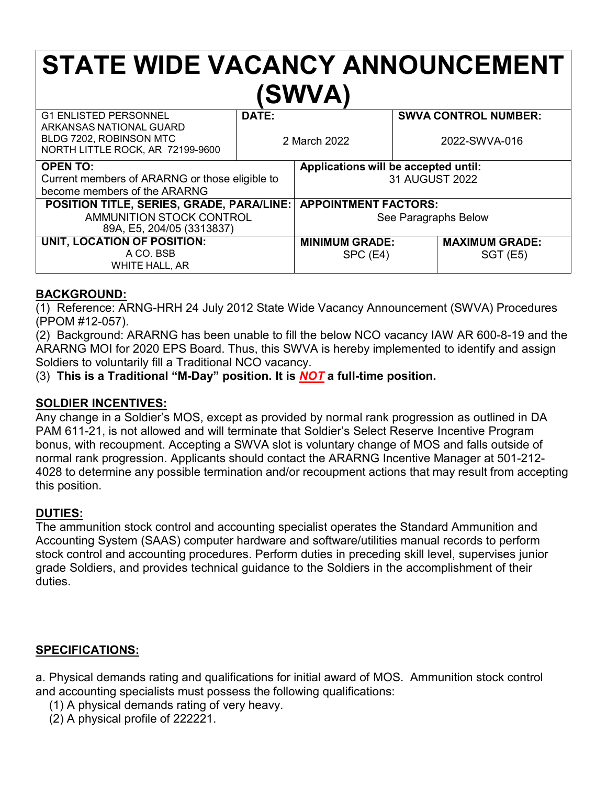# **STATE WIDE VACANCY ANNOUNCEMENT (SWVA)**

| <b>G1 ENLISTED PERSONNEL</b>                                                           | <b>DATE:</b> |                                      |               | <b>SWVA CONTROL NUMBER:</b> |
|----------------------------------------------------------------------------------------|--------------|--------------------------------------|---------------|-----------------------------|
| ARKANSAS NATIONAL GUARD<br>BLDG 7202, ROBINSON MTC<br>NORTH LITTLE ROCK, AR 72199-9600 | 2 March 2022 |                                      | 2022-SWVA-016 |                             |
| <b>OPEN TO:</b>                                                                        |              | Applications will be accepted until: |               |                             |
| Current members of ARARNG or those eligible to                                         |              | 31 AUGUST 2022                       |               |                             |
| become members of the ARARNG                                                           |              |                                      |               |                             |
| <b>POSITION TITLE, SERIES, GRADE, PARA/LINE:</b>                                       |              | <b>APPOINTMENT FACTORS:</b>          |               |                             |
| AMMUNITION STOCK CONTROL                                                               |              | See Paragraphs Below                 |               |                             |
| 89A, E5, 204/05 (3313837)                                                              |              |                                      |               |                             |
| UNIT, LOCATION OF POSITION:                                                            |              | <b>MINIMUM GRADE:</b>                |               | <b>MAXIMUM GRADE:</b>       |
| A CO. BSB                                                                              |              | $SPC$ (E4)                           |               | <b>SGT (E5)</b>             |
| WHITE HALL, AR                                                                         |              |                                      |               |                             |

#### **BACKGROUND:**

(1) Reference: ARNG-HRH 24 July 2012 State Wide Vacancy Announcement (SWVA) Procedures (PPOM #12-057).

(2) Background: ARARNG has been unable to fill the below NCO vacancy IAW AR 600-8-19 and the ARARNG MOI for 2020 EPS Board. Thus, this SWVA is hereby implemented to identify and assign Soldiers to voluntarily fill a Traditional NCO vacancy.

(3) **This is a Traditional "M-Day" position. It is** *NOT* **a full-time position.**

#### **SOLDIER INCENTIVES:**

Any change in a Soldier's MOS, except as provided by normal rank progression as outlined in DA PAM 611-21, is not allowed and will terminate that Soldier's Select Reserve Incentive Program bonus, with recoupment. Accepting a SWVA slot is voluntary change of MOS and falls outside of normal rank progression. Applicants should contact the ARARNG Incentive Manager at 501-212- 4028 to determine any possible termination and/or recoupment actions that may result from accepting this position.

## **DUTIES:**

The ammunition stock control and accounting specialist operates the Standard Ammunition and Accounting System (SAAS) computer hardware and software/utilities manual records to perform stock control and accounting procedures. Perform duties in preceding skill level, supervises junior grade Soldiers, and provides technical guidance to the Soldiers in the accomplishment of their duties.

#### **SPECIFICATIONS:**

a. Physical demands rating and qualifications for initial award of MOS. Ammunition stock control and accounting specialists must possess the following qualifications:

- (1) A physical demands rating of very heavy.
- (2) A physical profile of 222221.